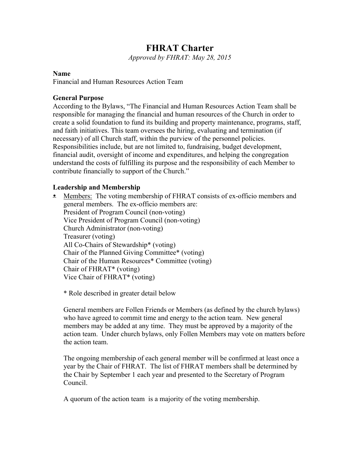# **FHRAT Charter**

*Approved by FHRAT: May 28, 2015*

#### **Name**

Financial and Human Resources Action Team

#### **General Purpose**

According to the Bylaws, "The Financial and Human Resources Action Team shall be responsible for managing the financial and human resources of the Church in order to create a solid foundation to fund its building and property maintenance, programs, staff, and faith initiatives. This team oversees the hiring, evaluating and termination (if necessary) of all Church staff, within the purview of the personnel policies. Responsibilities include, but are not limited to, fundraising, budget development, financial audit, oversight of income and expenditures, and helping the congregation understand the costs of fulfilling its purpose and the responsibility of each Member to contribute financially to support of the Church."

#### **Leadership and Membership**

• Members: The voting membership of FHRAT consists of ex-officio members and general members. The ex-officio members are: President of Program Council (non-voting) Vice President of Program Council (non-voting) Church Administrator (non-voting) Treasurer (voting) All Co-Chairs of Stewardship\* (voting) Chair of the Planned Giving Committee\* (voting) Chair of the Human Resources\* Committee (voting) Chair of FHRAT\* (voting) Vice Chair of FHRAT\* (voting)

\* Role described in greater detail below

General members are Follen Friends or Members (as defined by the church bylaws) who have agreed to commit time and energy to the action team. New general members may be added at any time. They must be approved by a majority of the action team. Under church bylaws, only Follen Members may vote on matters before the action team.

The ongoing membership of each general member will be confirmed at least once a year by the Chair of FHRAT. The list of FHRAT members shall be determined by the Chair by September 1 each year and presented to the Secretary of Program Council.

A quorum of the action team is a majority of the voting membership.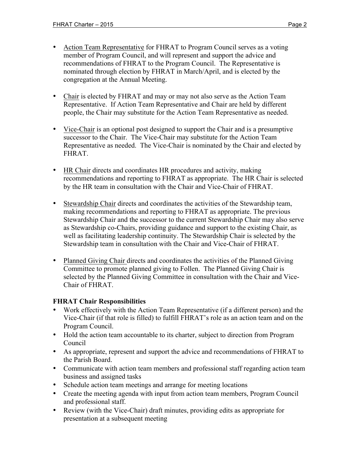- Action Team Representative for FHRAT to Program Council serves as a voting member of Program Council, and will represent and support the advice and recommendations of FHRAT to the Program Council. The Representative is nominated through election by FHRAT in March/April, and is elected by the congregation at the Annual Meeting.
- Chair is elected by FHRAT and may or may not also serve as the Action Team Representative. If Action Team Representative and Chair are held by different people, the Chair may substitute for the Action Team Representative as needed.
- Vice-Chair is an optional post designed to support the Chair and is a presumptive successor to the Chair. The Vice-Chair may substitute for the Action Team Representative as needed. The Vice-Chair is nominated by the Chair and elected by FHRAT.
- HR Chair directs and coordinates HR procedures and activity, making recommendations and reporting to FHRAT as appropriate. The HR Chair is selected by the HR team in consultation with the Chair and Vice-Chair of FHRAT.
- Stewardship Chair directs and coordinates the activities of the Stewardship team, making recommendations and reporting to FHRAT as appropriate. The previous Stewardship Chair and the successor to the current Stewardship Chair may also serve as Stewardship co-Chairs, providing guidance and support to the existing Chair, as well as facilitating leadership continuity. The Stewardship Chair is selected by the Stewardship team in consultation with the Chair and Vice-Chair of FHRAT.
- Planned Giving Chair directs and coordinates the activities of the Planned Giving Committee to promote planned giving to Follen. The Planned Giving Chair is selected by the Planned Giving Committee in consultation with the Chair and Vice-Chair of FHRAT.

### **FHRAT Chair Responsibilities**

- Work effectively with the Action Team Representative (if a different person) and the Vice-Chair (if that role is filled) to fulfill FHRAT's role as an action team and on the Program Council.
- Hold the action team accountable to its charter, subject to direction from Program Council
- As appropriate, represent and support the advice and recommendations of FHRAT to the Parish Board.
- Communicate with action team members and professional staff regarding action team business and assigned tasks
- Schedule action team meetings and arrange for meeting locations
- Create the meeting agenda with input from action team members, Program Council and professional staff.
- Review (with the Vice-Chair) draft minutes, providing edits as appropriate for presentation at a subsequent meeting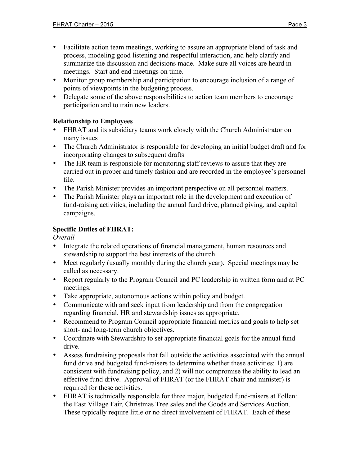- Facilitate action team meetings, working to assure an appropriate blend of task and process, modeling good listening and respectful interaction, and help clarify and summarize the discussion and decisions made. Make sure all voices are heard in meetings. Start and end meetings on time.
- Monitor group membership and participation to encourage inclusion of a range of points of viewpoints in the budgeting process.
- Delegate some of the above responsibilities to action team members to encourage participation and to train new leaders.

### **Relationship to Employees**

- FHRAT and its subsidiary teams work closely with the Church Administrator on many issues
- The Church Administrator is responsible for developing an initial budget draft and for incorporating changes to subsequent drafts
- The HR team is responsible for monitoring staff reviews to assure that they are carried out in proper and timely fashion and are recorded in the employee's personnel file.
- The Parish Minister provides an important perspective on all personnel matters.
- The Parish Minister plays an important role in the development and execution of fund-raising activities, including the annual fund drive, planned giving, and capital campaigns.

### **Specific Duties of FHRAT:**

*Overall*

- Integrate the related operations of financial management, human resources and stewardship to support the best interests of the church.
- Meet regularly (usually monthly during the church year). Special meetings may be called as necessary.
- Report regularly to the Program Council and PC leadership in written form and at PC meetings.
- Take appropriate, autonomous actions within policy and budget.
- Communicate with and seek input from leadership and from the congregation regarding financial, HR and stewardship issues as appropriate.
- Recommend to Program Council appropriate financial metrics and goals to help set short- and long-term church objectives.
- Coordinate with Stewardship to set appropriate financial goals for the annual fund drive.
- Assess fundraising proposals that fall outside the activities associated with the annual fund drive and budgeted fund-raisers to determine whether these activities: 1) are consistent with fundraising policy, and 2) will not compromise the ability to lead an effective fund drive. Approval of FHRAT (or the FHRAT chair and minister) is required for these activities.
- FHRAT is technically responsible for three major, budgeted fund-raisers at Follen: the East Village Fair, Christmas Tree sales and the Goods and Services Auction. These typically require little or no direct involvement of FHRAT. Each of these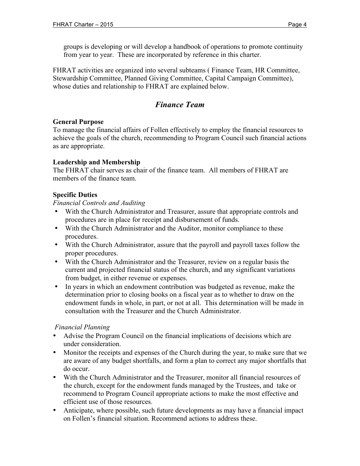groups is developing or will develop a handbook of operations to promote continuity from year to year. These are incorporated by reference in this charter.

FHRAT activities are organized into several subteams ( Finance Team, HR Committee, Stewardship Committee, Planned Giving Committee, Capital Campaign Committee), whose duties and relationship to FHRAT are explained below.

# *Finance Team*

### **General Purpose**

To manage the financial affairs of Follen effectively to employ the financial resources to achieve the goals of the church, recommending to Program Council such financial actions as are appropriate.

### **Leadership and Membership**

The FHRAT chair serves as chair of the finance team. All members of FHRAT are members of the finance team.

### **Specific Duties**

*Financial Controls and Auditing*

- With the Church Administrator and Treasurer, assure that appropriate controls and procedures are in place for receipt and disbursement of funds.
- With the Church Administrator and the Auditor, monitor compliance to these procedures.
- With the Church Administrator, assure that the payroll and payroll taxes follow the proper procedures.
- With the Church Administrator and the Treasurer, review on a regular basis the current and projected financial status of the church, and any significant variations from budget, in either revenue or expenses.
- In years in which an endowment contribution was budgeted as revenue, make the determination prior to closing books on a fiscal year as to whether to draw on the endowment funds in whole, in part, or not at all. This determination will be made in consultation with the Treasurer and the Church Administrator.

### *Financial Planning*

- Advise the Program Council on the financial implications of decisions which are under consideration.
- Monitor the receipts and expenses of the Church during the year, to make sure that we are aware of any budget shortfalls, and form a plan to correct any major shortfalls that do occur.
- With the Church Administrator and the Treasurer, monitor all financial resources of the church, except for the endowment funds managed by the Trustees, and take or recommend to Program Council appropriate actions to make the most effective and efficient use of those resources.
- Anticipate, where possible, such future developments as may have a financial impact on Follen's financial situation. Recommend actions to address these.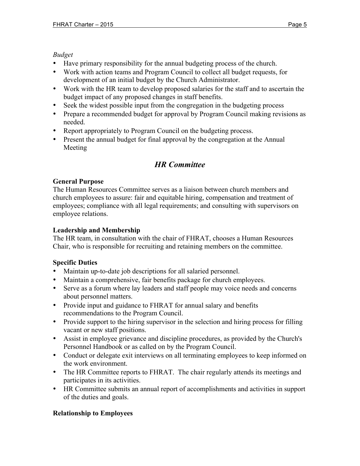### *Budget*

- Have primary responsibility for the annual budgeting process of the church.
- Work with action teams and Program Council to collect all budget requests, for development of an initial budget by the Church Administrator.
- Work with the HR team to develop proposed salaries for the staff and to ascertain the budget impact of any proposed changes in staff benefits.
- Seek the widest possible input from the congregation in the budgeting process
- Prepare a recommended budget for approval by Program Council making revisions as needed.
- Report appropriately to Program Council on the budgeting process.
- Present the annual budget for final approval by the congregation at the Annual Meeting

# *HR Committee*

### **General Purpose**

The Human Resources Committee serves as a liaison between church members and church employees to assure: fair and equitable hiring, compensation and treatment of employees; compliance with all legal requirements; and consulting with supervisors on employee relations.

### **Leadership and Membership**

The HR team, in consultation with the chair of FHRAT, chooses a Human Resources Chair, who is responsible for recruiting and retaining members on the committee.

### **Specific Duties**

- Maintain up-to-date job descriptions for all salaried personnel.
- Maintain a comprehensive, fair benefits package for church employees.
- Serve as a forum where lay leaders and staff people may voice needs and concerns about personnel matters.
- Provide input and guidance to FHRAT for annual salary and benefits recommendations to the Program Council.
- Provide support to the hiring supervisor in the selection and hiring process for filling vacant or new staff positions.
- Assist in employee grievance and discipline procedures, as provided by the Church's Personnel Handbook or as called on by the Program Council.
- Conduct or delegate exit interviews on all terminating employees to keep informed on the work environment.
- The HR Committee reports to FHRAT. The chair regularly attends its meetings and participates in its activities.
- HR Committee submits an annual report of accomplishments and activities in support of the duties and goals.

### **Relationship to Employees**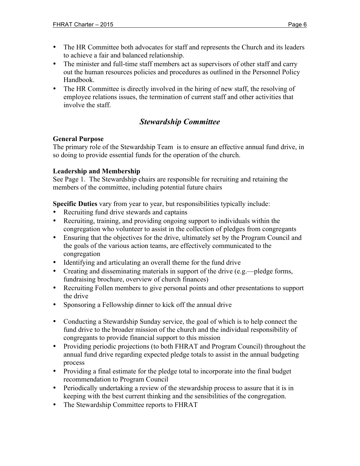- The HR Committee both advocates for staff and represents the Church and its leaders to achieve a fair and balanced relationship.
- The minister and full-time staff members act as supervisors of other staff and carry out the human resources policies and procedures as outlined in the Personnel Policy Handbook.
- The HR Committee is directly involved in the hiring of new staff, the resolving of employee relations issues, the termination of current staff and other activities that involve the staff.

## *Stewardship Committee*

### **General Purpose**

The primary role of the Stewardship Team is to ensure an effective annual fund drive, in so doing to provide essential funds for the operation of the church.

### **Leadership and Membership**

See Page 1. The Stewardship chairs are responsible for recruiting and retaining the members of the committee, including potential future chairs

**Specific Duties** vary from year to year, but responsibilities typically include:

- Recruiting fund drive stewards and captains
- Recruiting, training, and providing ongoing support to individuals within the congregation who volunteer to assist in the collection of pledges from congregants
- Ensuring that the objectives for the drive, ultimately set by the Program Council and the goals of the various action teams, are effectively communicated to the congregation
- Identifying and articulating an overall theme for the fund drive
- Creating and disseminating materials in support of the drive (e.g.—pledge forms, fundraising brochure, overview of church finances)
- Recruiting Follen members to give personal points and other presentations to support the drive
- Sponsoring a Fellowship dinner to kick off the annual drive
- Conducting a Stewardship Sunday service, the goal of which is to help connect the fund drive to the broader mission of the church and the individual responsibility of congregants to provide financial support to this mission
- Providing periodic projections (to both FHRAT and Program Council) throughout the annual fund drive regarding expected pledge totals to assist in the annual budgeting process
- Providing a final estimate for the pledge total to incorporate into the final budget recommendation to Program Council
- Periodically undertaking a review of the stewardship process to assure that it is in keeping with the best current thinking and the sensibilities of the congregation.
- The Stewardship Committee reports to FHRAT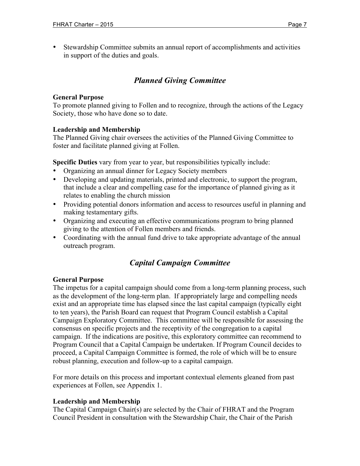• Stewardship Committee submits an annual report of accomplishments and activities in support of the duties and goals.

# *Planned Giving Committee*

#### **General Purpose**

To promote planned giving to Follen and to recognize, through the actions of the Legacy Society, those who have done so to date.

#### **Leadership and Membership**

The Planned Giving chair oversees the activities of the Planned Giving Committee to foster and facilitate planned giving at Follen.

**Specific Duties** vary from year to year, but responsibilities typically include:

- Organizing an annual dinner for Legacy Society members
- Developing and updating materials, printed and electronic, to support the program, that include a clear and compelling case for the importance of planned giving as it relates to enabling the church mission
- Providing potential donors information and access to resources useful in planning and making testamentary gifts.
- Organizing and executing an effective communications program to bring planned giving to the attention of Follen members and friends.
- Coordinating with the annual fund drive to take appropriate advantage of the annual outreach program.

# *Capital Campaign Committee*

#### **General Purpose**

The impetus for a capital campaign should come from a long-term planning process, such as the development of the long-term plan. If appropriately large and compelling needs exist and an appropriate time has elapsed since the last capital campaign (typically eight to ten years), the Parish Board can request that Program Council establish a Capital Campaign Exploratory Committee. This committee will be responsible for assessing the consensus on specific projects and the receptivity of the congregation to a capital campaign. If the indications are positive, this exploratory committee can recommend to Program Council that a Capital Campaign be undertaken. If Program Council decides to proceed, a Capital Campaign Committee is formed, the role of which will be to ensure robust planning, execution and follow-up to a capital campaign.

For more details on this process and important contextual elements gleaned from past experiences at Follen, see Appendix 1.

#### **Leadership and Membership**

The Capital Campaign Chair(s) are selected by the Chair of FHRAT and the Program Council President in consultation with the Stewardship Chair, the Chair of the Parish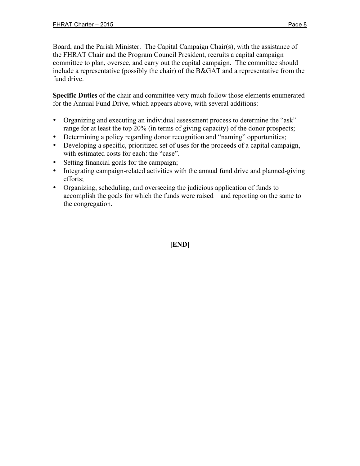Board, and the Parish Minister. The Capital Campaign Chair(s), with the assistance of the FHRAT Chair and the Program Council President, recruits a capital campaign committee to plan, oversee, and carry out the capital campaign. The committee should include a representative (possibly the chair) of the B&GAT and a representative from the fund drive.

**Specific Duties** of the chair and committee very much follow those elements enumerated for the Annual Fund Drive, which appears above, with several additions:

- Organizing and executing an individual assessment process to determine the "ask" range for at least the top 20% (in terms of giving capacity) of the donor prospects;
- Determining a policy regarding donor recognition and "naming" opportunities;
- Developing a specific, prioritized set of uses for the proceeds of a capital campaign, with estimated costs for each: the "case".
- Setting financial goals for the campaign;
- Integrating campaign-related activities with the annual fund drive and planned-giving efforts;
- Organizing, scheduling, and overseeing the judicious application of funds to accomplish the goals for which the funds were raised—and reporting on the same to the congregation.

### **[END]**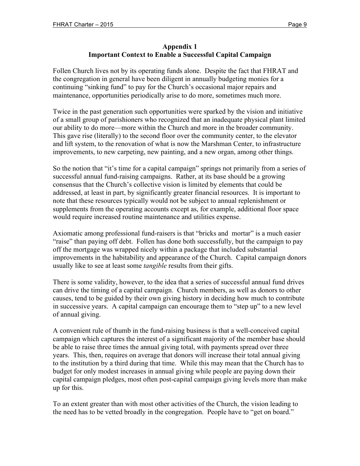#### **Appendix 1 Important Context to Enable a Successful Capital Campaign**

Follen Church lives not by its operating funds alone. Despite the fact that FHRAT and the congregation in general have been diligent in annually budgeting monies for a continuing "sinking fund" to pay for the Church's occasional major repairs and maintenance, opportunities periodically arise to do more, sometimes much more.

Twice in the past generation such opportunities were sparked by the vision and initiative of a small group of parishioners who recognized that an inadequate physical plant limited our ability to do more—more within the Church and more in the broader community. This gave rise (literally) to the second floor over the community center, to the elevator and lift system, to the renovation of what is now the Marshman Center, to infrastructure improvements, to new carpeting, new painting, and a new organ, among other things.

So the notion that "it's time for a capital campaign" springs not primarily from a series of successful annual fund-raising campaigns. Rather, at its base should be a growing consensus that the Church's collective vision is limited by elements that could be addressed, at least in part, by significantly greater financial resources. It is important to note that these resources typically would not be subject to annual replenishment or supplements from the operating accounts except as, for example, additional floor space would require increased routine maintenance and utilities expense.

Axiomatic among professional fund-raisers is that "bricks and mortar" is a much easier "raise" than paying off debt. Follen has done both successfully, but the campaign to pay off the mortgage was wrapped nicely within a package that included substantial improvements in the habitability and appearance of the Church. Capital campaign donors usually like to see at least some *tangible* results from their gifts.

There is some validity, however, to the idea that a series of successful annual fund drives can drive the timing of a capital campaign. Church members, as well as donors to other causes, tend to be guided by their own giving history in deciding how much to contribute in successive years. A capital campaign can encourage them to "step up" to a new level of annual giving.

A convenient rule of thumb in the fund-raising business is that a well-conceived capital campaign which captures the interest of a significant majority of the member base should be able to raise three times the annual giving total, with payments spread over three years. This, then, requires on average that donors will increase their total annual giving to the institution by a third during that time. While this may mean that the Church has to budget for only modest increases in annual giving while people are paying down their capital campaign pledges, most often post-capital campaign giving levels more than make up for this.

To an extent greater than with most other activities of the Church, the vision leading to the need has to be vetted broadly in the congregation. People have to "get on board."